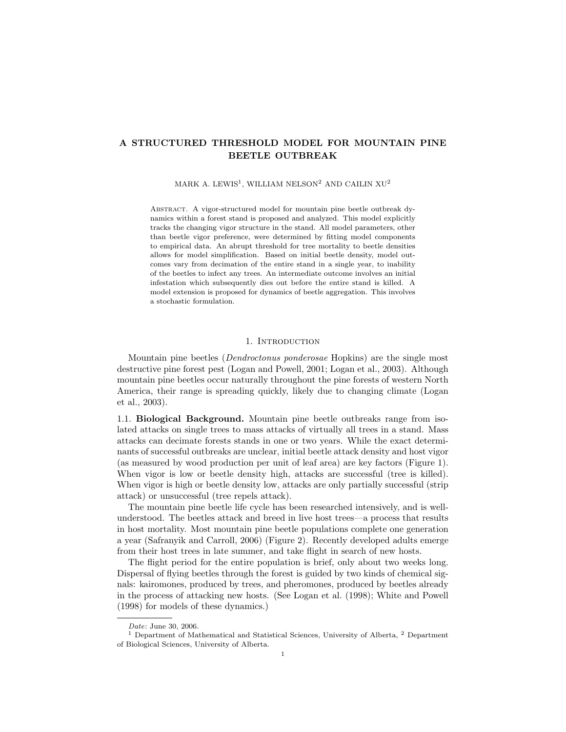# A STRUCTURED THRESHOLD MODEL FOR MOUNTAIN PINE BEETLE OUTBREAK

MARK A. LEWIS<sup>1</sup>, WILLIAM NELSON<sup>2</sup> AND CAILIN XU<sup>2</sup>

ABSTRACT. A vigor-structured model for mountain pine beetle outbreak dynamics within a forest stand is proposed and analyzed. This model explicitly tracks the changing vigor structure in the stand. All model parameters, other than beetle vigor preference, were determined by fitting model components to empirical data. An abrupt threshold for tree mortality to beetle densities allows for model simplification. Based on initial beetle density, model outcomes vary from decimation of the entire stand in a single year, to inability of the beetles to infect any trees. An intermediate outcome involves an initial infestation which subsequently dies out before the entire stand is killed. A model extension is proposed for dynamics of beetle aggregation. This involves a stochastic formulation.

### 1. INTRODUCTION

Mountain pine beetles (Dendroctonus ponderosae Hopkins) are the single most destructive pine forest pest (Logan and Powell, 2001; Logan et al., 2003). Although mountain pine beetles occur naturally throughout the pine forests of western North America, their range is spreading quickly, likely due to changing climate (Logan et al., 2003).

1.1. Biological Background. Mountain pine beetle outbreaks range from isolated attacks on single trees to mass attacks of virtually all trees in a stand. Mass attacks can decimate forests stands in one or two years. While the exact determinants of successful outbreaks are unclear, initial beetle attack density and host vigor (as measured by wood production per unit of leaf area) are key factors (Figure 1). When vigor is low or beetle density high, attacks are successful (tree is killed). When vigor is high or beetle density low, attacks are only partially successful (strip attack) or unsuccessful (tree repels attack).

The mountain pine beetle life cycle has been researched intensively, and is wellunderstood. The beetles attack and breed in live host trees—a process that results in host mortality. Most mountain pine beetle populations complete one generation a year (Safranyik and Carroll, 2006) (Figure 2). Recently developed adults emerge from their host trees in late summer, and take flight in search of new hosts.

The flight period for the entire population is brief, only about two weeks long. Dispersal of flying beetles through the forest is guided by two kinds of chemical signals: kairomones, produced by trees, and pheromones, produced by beetles already in the process of attacking new hosts. (See Logan et al. (1998); White and Powell (1998) for models of these dynamics.)

Date: June 30, 2006.

<sup>&</sup>lt;sup>1</sup> Department of Mathematical and Statistical Sciences, University of Alberta,  $^{2}$  Department of Biological Sciences, University of Alberta.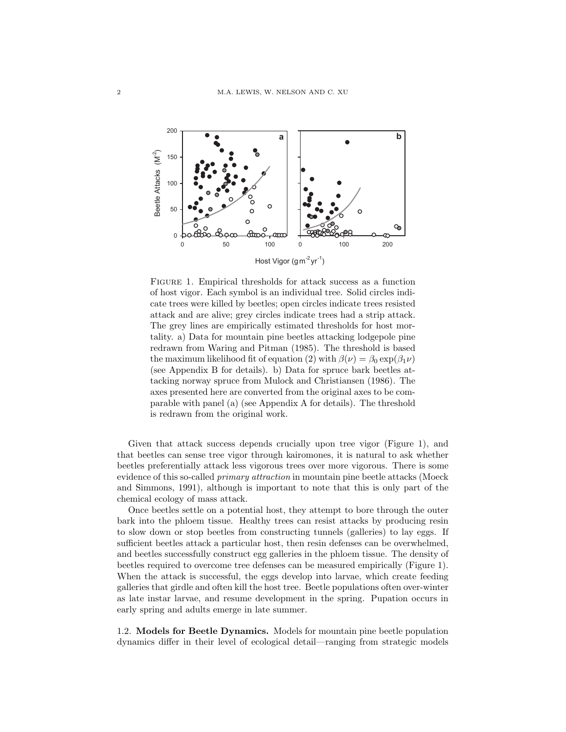

Figure 1. Empirical thresholds for attack success as a function of host vigor. Each symbol is an individual tree. Solid circles indicate trees were killed by beetles; open circles indicate trees resisted attack and are alive; grey circles indicate trees had a strip attack. The grey lines are empirically estimated thresholds for host mortality. a) Data for mountain pine beetles attacking lodgepole pine redrawn from Waring and Pitman (1985). The threshold is based the maximum likelihood fit of equation (2) with  $\beta(\nu) = \beta_0 \exp(\beta_1 \nu)$ (see Appendix B for details). b) Data for spruce bark beetles attacking norway spruce from Mulock and Christiansen (1986). The axes presented here are converted from the original axes to be comparable with panel (a) (see Appendix A for details). The threshold is redrawn from the original work.

Given that attack success depends crucially upon tree vigor (Figure 1), and that beetles can sense tree vigor through kairomones, it is natural to ask whether beetles preferentially attack less vigorous trees over more vigorous. There is some evidence of this so-called *primary attraction* in mountain pine beetle attacks (Moeck and Simmons, 1991), although is important to note that this is only part of the chemical ecology of mass attack.

Once beetles settle on a potential host, they attempt to bore through the outer bark into the phloem tissue. Healthy trees can resist attacks by producing resin to slow down or stop beetles from constructing tunnels (galleries) to lay eggs. If sufficient beetles attack a particular host, then resin defenses can be overwhelmed, and beetles successfully construct egg galleries in the phloem tissue. The density of beetles required to overcome tree defenses can be measured empirically (Figure 1). When the attack is successful, the eggs develop into larvae, which create feeding galleries that girdle and often kill the host tree. Beetle populations often over-winter as late instar larvae, and resume development in the spring. Pupation occurs in early spring and adults emerge in late summer.

1.2. Models for Beetle Dynamics. Models for mountain pine beetle population dynamics differ in their level of ecological detail—ranging from strategic models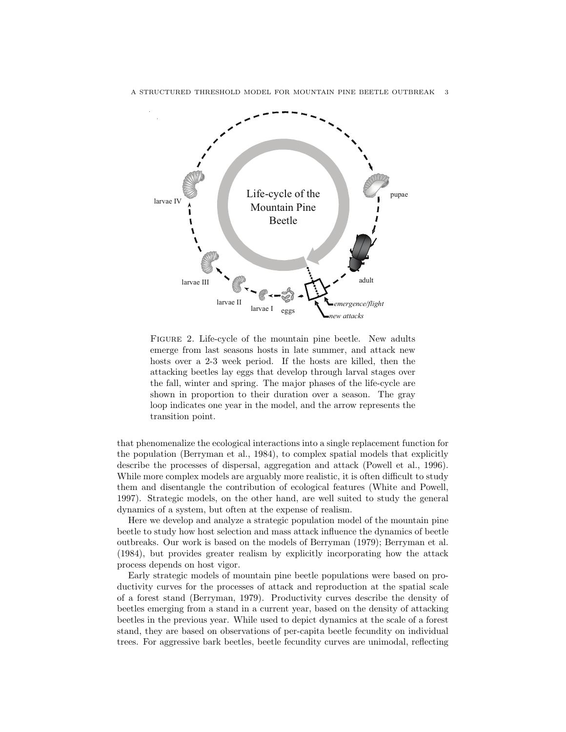

A STRUCTURED THRESHOLD MODEL FOR MOUNTAIN PINE BEETLE OUTBREAK 3

FIGURE 2. Life-cycle of the mountain pine beetle. New adults emerge from last seasons hosts in late summer, and attack new hosts over a 2-3 week period. If the hosts are killed, then the attacking beetles lay eggs that develop through larval stages over the fall, winter and spring. The major phases of the life-cycle are shown in proportion to their duration over a season. The gray loop indicates one year in the model, and the arrow represents the transition point.

*new attacks*

that phenomenalize the ecological interactions into a single replacement function for the population (Berryman et al., 1984), to complex spatial models that explicitly describe the processes of dispersal, aggregation and attack (Powell et al., 1996). While more complex models are arguably more realistic, it is often difficult to study them and disentangle the contribution of ecological features (White and Powell, 1997). Strategic models, on the other hand, are well suited to study the general dynamics of a system, but often at the expense of realism.

Here we develop and analyze a strategic population model of the mountain pine beetle to study how host selection and mass attack influence the dynamics of beetle outbreaks. Our work is based on the models of Berryman (1979); Berryman et al. (1984), but provides greater realism by explicitly incorporating how the attack process depends on host vigor.

Early strategic models of mountain pine beetle populations were based on productivity curves for the processes of attack and reproduction at the spatial scale of a forest stand (Berryman, 1979). Productivity curves describe the density of beetles emerging from a stand in a current year, based on the density of attacking beetles in the previous year. While used to depict dynamics at the scale of a forest stand, they are based on observations of per-capita beetle fecundity on individual trees. For aggressive bark beetles, beetle fecundity curves are unimodal, reflecting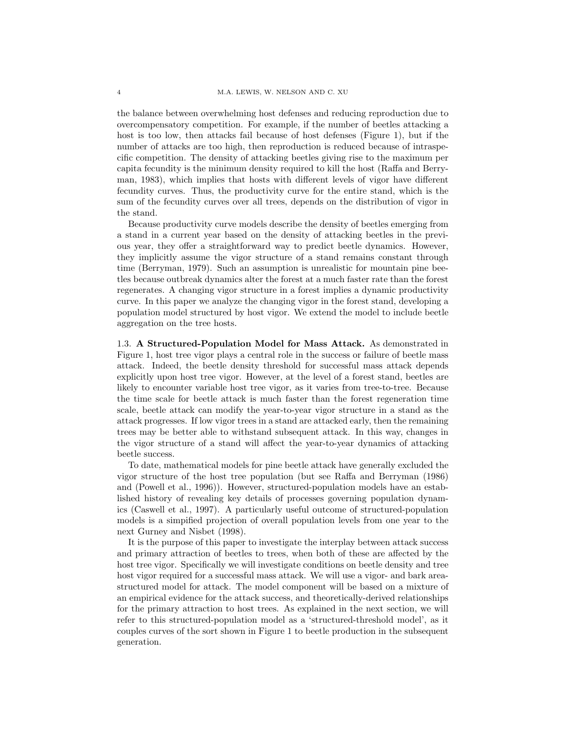the balance between overwhelming host defenses and reducing reproduction due to overcompensatory competition. For example, if the number of beetles attacking a host is too low, then attacks fail because of host defenses (Figure 1), but if the number of attacks are too high, then reproduction is reduced because of intraspecific competition. The density of attacking beetles giving rise to the maximum per capita fecundity is the minimum density required to kill the host (Raffa and Berryman, 1983), which implies that hosts with different levels of vigor have different fecundity curves. Thus, the productivity curve for the entire stand, which is the sum of the fecundity curves over all trees, depends on the distribution of vigor in the stand.

Because productivity curve models describe the density of beetles emerging from a stand in a current year based on the density of attacking beetles in the previous year, they offer a straightforward way to predict beetle dynamics. However, they implicitly assume the vigor structure of a stand remains constant through time (Berryman, 1979). Such an assumption is unrealistic for mountain pine beetles because outbreak dynamics alter the forest at a much faster rate than the forest regenerates. A changing vigor structure in a forest implies a dynamic productivity curve. In this paper we analyze the changing vigor in the forest stand, developing a population model structured by host vigor. We extend the model to include beetle aggregation on the tree hosts.

1.3. A Structured-Population Model for Mass Attack. As demonstrated in Figure 1, host tree vigor plays a central role in the success or failure of beetle mass attack. Indeed, the beetle density threshold for successful mass attack depends explicitly upon host tree vigor. However, at the level of a forest stand, beetles are likely to encounter variable host tree vigor, as it varies from tree-to-tree. Because the time scale for beetle attack is much faster than the forest regeneration time scale, beetle attack can modify the year-to-year vigor structure in a stand as the attack progresses. If low vigor trees in a stand are attacked early, then the remaining trees may be better able to withstand subsequent attack. In this way, changes in the vigor structure of a stand will affect the year-to-year dynamics of attacking beetle success.

To date, mathematical models for pine beetle attack have generally excluded the vigor structure of the host tree population (but see Raffa and Berryman (1986) and (Powell et al., 1996)). However, structured-population models have an established history of revealing key details of processes governing population dynamics (Caswell et al., 1997). A particularly useful outcome of structured-population models is a simpified projection of overall population levels from one year to the next Gurney and Nisbet (1998).

It is the purpose of this paper to investigate the interplay between attack success and primary attraction of beetles to trees, when both of these are affected by the host tree vigor. Specifically we will investigate conditions on beetle density and tree host vigor required for a successful mass attack. We will use a vigor- and bark areastructured model for attack. The model component will be based on a mixture of an empirical evidence for the attack success, and theoretically-derived relationships for the primary attraction to host trees. As explained in the next section, we will refer to this structured-population model as a 'structured-threshold model', as it couples curves of the sort shown in Figure 1 to beetle production in the subsequent generation.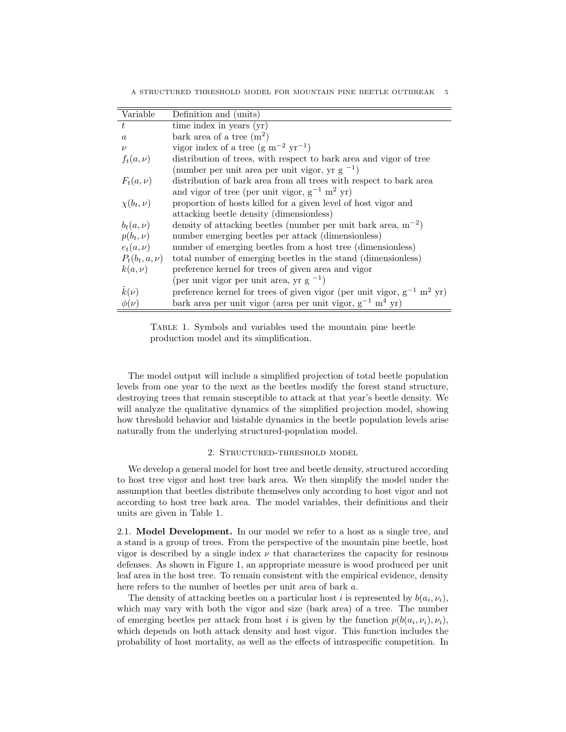A STRUCTURED THRESHOLD MODEL FOR MOUNTAIN PINE BEETLE OUTBREAK 5

| Variable           | Definition and (units)                                                                  |
|--------------------|-----------------------------------------------------------------------------------------|
| $t\,$              | time index in years (yr)                                                                |
| $\alpha$           | bark area of a tree $(m^2)$                                                             |
| $\nu$              | vigor index of a tree $(g m^{-2} yr^{-1})$                                              |
| $f_t(a,\nu)$       | distribution of trees, with respect to bark area and vigor of tree                      |
|                    | (number per unit area per unit vigor, yr $g^{-1}$ )                                     |
| $F_t(a,\nu)$       | distribution of bark area from all trees with respect to bark area                      |
|                    | and vigor of tree (per unit vigor, $g^{-1}$ m <sup>2</sup> yr)                          |
| $\chi(b_t,\nu)$    | proportion of hosts killed for a given level of host vigor and                          |
|                    | attacking beetle density (dimensionless)                                                |
| $b_t(a,\nu)$       | density of attacking beetles (number per unit bark area, $m^{-2}$ )                     |
| $p(b_t, \nu)$      | number emerging beetles per attack (dimensionless)                                      |
| $e_t(a,\nu)$       | number of emerging beetles from a host tree (dimensionless)                             |
| $P_t(b_t, a, \nu)$ | total number of emerging beetles in the stand (dimensionless)                           |
| $k(a,\nu)$         | preference kernel for trees of given area and vigor                                     |
|                    | (per unit vigor per unit area, yr $g^{-1}$ )                                            |
| $k(\nu)$           | preference kernel for trees of given vigor (per unit vigor, $g^{-1}$ m <sup>2</sup> yr) |
| $\phi(\nu)$        | bark area per unit vigor (area per unit vigor, $g^{-1}$ m <sup>4</sup> yr)              |

Table 1. Symbols and variables used the mountain pine beetle production model and its simplification.

The model output will include a simplified projection of total beetle population levels from one year to the next as the beetles modify the forest stand structure, destroying trees that remain susceptible to attack at that year's beetle density. We will analyze the qualitative dynamics of the simplified projection model, showing how threshold behavior and bistable dynamics in the beetle population levels arise naturally from the underlying structured-population model.

# 2. Structured-threshold model

We develop a general model for host tree and beetle density, structured according to host tree vigor and host tree bark area. We then simplify the model under the assumption that beetles distribute themselves only according to host vigor and not according to host tree bark area. The model variables, their definitions and their units are given in Table 1.

2.1. Model Development. In our model we refer to a host as a single tree, and a stand is a group of trees. From the perspective of the mountain pine beetle, host vigor is described by a single index  $\nu$  that characterizes the capacity for resinous defenses. As shown in Figure 1, an appropriate measure is wood produced per unit leaf area in the host tree. To remain consistent with the empirical evidence, density here refers to the number of beetles per unit area of bark a.

The density of attacking beetles on a particular host i is represented by  $b(a_i, \nu_i)$ , which may vary with both the vigor and size (bark area) of a tree. The number of emerging beetles per attack from host *i* is given by the function  $p(b(a_i, \nu_i), \nu_i)$ , which depends on both attack density and host vigor. This function includes the probability of host mortality, as well as the effects of intraspecific competition. In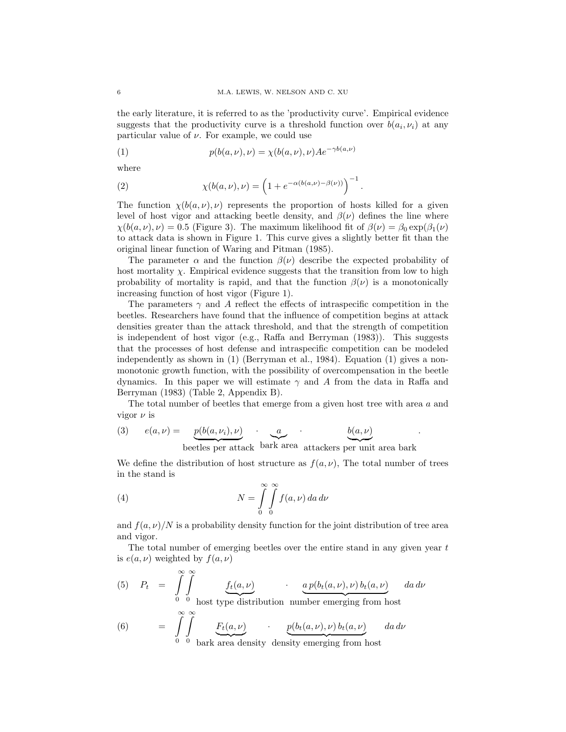the early literature, it is referred to as the 'productivity curve'. Empirical evidence suggests that the productivity curve is a threshold function over  $b(a_i, \nu_i)$  at any particular value of  $\nu$ . For example, we could use

(1) 
$$
p(b(a,\nu),\nu) = \chi(b(a,\nu),\nu)Ae^{-\gamma b(a,\nu)}
$$

where

(2) 
$$
\chi(b(a,\nu),\nu) = \left(1 + e^{-\alpha(b(a,\nu) - \beta(\nu))}\right)^{-1}.
$$

The function  $\chi(b(a,\nu),\nu)$  represents the proportion of hosts killed for a given level of host vigor and attacking beetle density, and  $\beta(\nu)$  defines the line where  $\chi(b(a,\nu),\nu) = 0.5$  (Figure 3). The maximum likelihood fit of  $\beta(\nu) = \beta_0 \exp(\beta_1(\nu))$ to attack data is shown in Figure 1. This curve gives a slightly better fit than the original linear function of Waring and Pitman (1985).

The parameter  $\alpha$  and the function  $\beta(\nu)$  describe the expected probability of host mortality  $\chi$ . Empirical evidence suggests that the transition from low to high probability of mortality is rapid, and that the function  $\beta(\nu)$  is a monotonically increasing function of host vigor (Figure 1).

The parameters  $\gamma$  and A reflect the effects of intraspecific competition in the beetles. Researchers have found that the influence of competition begins at attack densities greater than the attack threshold, and that the strength of competition is independent of host vigor (e.g., Raffa and Berryman (1983)). This suggests that the processes of host defense and intraspecific competition can be modeled independently as shown in (1) (Berryman et al., 1984). Equation (1) gives a nonmonotonic growth function, with the possibility of overcompensation in the beetle dynamics. In this paper we will estimate  $\gamma$  and A from the data in Raffa and Berryman (1983) (Table 2, Appendix B).

The total number of beetles that emerge from a given host tree with area a and vigor  $\nu$  is

.

(3) 
$$
e(a,\nu) = \underbrace{p(b(a,\nu_i),\nu)}_{\text{beetles per attack}} \underbrace{a}_{\text{bark area} \text{ attacks}} \underbrace{b(a,\nu)}_{\text{attack}}
$$

We define the distribution of host structure as  $f(a, \nu)$ , The total number of trees in the stand is

(4) 
$$
N = \int_{0}^{\infty} \int_{0}^{\infty} f(a, \nu) da d\nu
$$

and  $f(a, \nu)/N$  is a probability density function for the joint distribution of tree area and vigor.

The total number of emerging beetles over the entire stand in any given year  $t$ is  $e(a, \nu)$  weighted by  $f(a, \nu)$ 

 $P_t = \int_0^\infty$  $\mathbf{0}$  $\int$  $\mathbf{0}$  $f_t(a,\nu)$ host type distribution  $a p(b_t(a,\nu),\nu) b_t(a,\nu)$ number emerging from host (5)  $P_t = \int \int f_t(a,\nu)$   $a p(b_t(a,\nu),\nu) b_t(a,\nu)$   $da d\nu$ 

(6) 
$$
= \int_{0}^{\infty} \int_{0}^{\infty} \underbrace{F_t(a,\nu)}_{\text{bark area density density emerging from host}} d\mathbf{a} d\nu
$$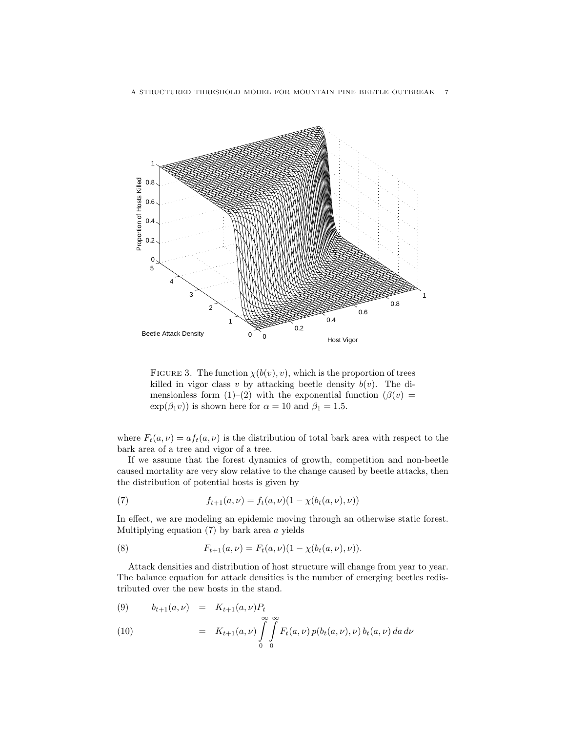

FIGURE 3. The function  $\chi(b(v), v)$ , which is the proportion of trees killed in vigor class v by attacking beetle density  $b(v)$ . The dimensionless form (1)–(2) with the exponential function ( $\beta(v)$ )  $\exp(\beta_1 v)$  is shown here for  $\alpha = 10$  and  $\beta_1 = 1.5$ .

where  $F_t(a, \nu) = af_t(a, \nu)$  is the distribution of total bark area with respect to the bark area of a tree and vigor of a tree.

If we assume that the forest dynamics of growth, competition and non-beetle caused mortality are very slow relative to the change caused by beetle attacks, then the distribution of potential hosts is given by

(7) 
$$
f_{t+1}(a,\nu) = f_t(a,\nu)(1-\chi(b_t(a,\nu),\nu))
$$

In effect, we are modeling an epidemic moving through an otherwise static forest. Multiplying equation  $(7)$  by bark area  $\alpha$  yields

(8) 
$$
F_{t+1}(a,\nu) = F_t(a,\nu)(1-\chi(b_t(a,\nu),\nu)).
$$

Attack densities and distribution of host structure will change from year to year. The balance equation for attack densities is the number of emerging beetles redistributed over the new hosts in the stand.

(9) 
$$
b_{t+1}(a,\nu) = K_{t+1}(a,\nu)P_t
$$
  
\n(10) 
$$
= K_{t+1}(a,\nu) \int_{0}^{\infty} \int_{0}^{\infty} F_t(a,\nu) p(b_t(a,\nu),\nu) b_t(a,\nu) da d\nu
$$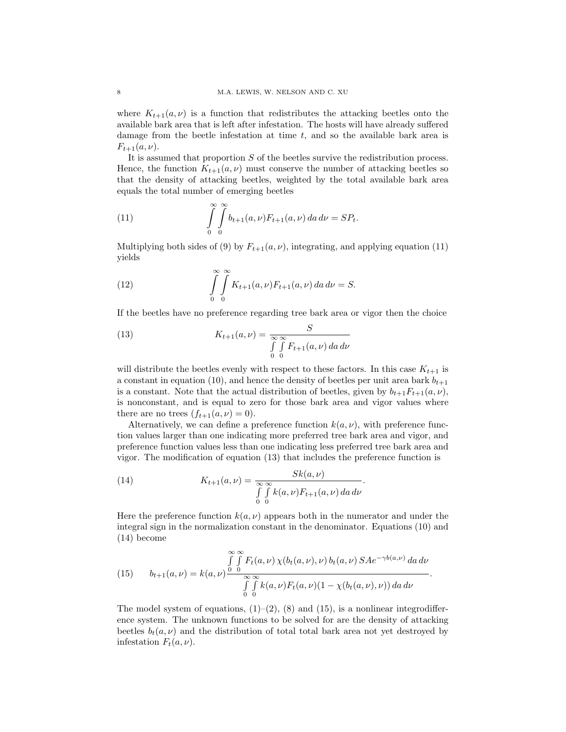where  $K_{t+1}(a, \nu)$  is a function that redistributes the attacking beetles onto the available bark area that is left after infestation. The hosts will have already suffered damage from the beetle infestation at time  $t$ , and so the available bark area is  $F_{t+1}(a, \nu)$ .

It is assumed that proportion S of the beetles survive the redistribution process. Hence, the function  $K_{t+1}(a, \nu)$  must conserve the number of attacking beetles so that the density of attacking beetles, weighted by the total available bark area equals the total number of emerging beetles

(11) 
$$
\int_{0}^{\infty} \int_{0}^{\infty} b_{t+1}(a,\nu) F_{t+1}(a,\nu) \, da \, d\nu = SP_t.
$$

Multiplying both sides of (9) by  $F_{t+1}(a, \nu)$ , integrating, and applying equation (11) yields

(12) 
$$
\int_{0}^{\infty} \int_{0}^{\infty} K_{t+1}(a,\nu) F_{t+1}(a,\nu) da d\nu = S.
$$

If the beetles have no preference regarding tree bark area or vigor then the choice

(13) 
$$
K_{t+1}(a,\nu) = \frac{S}{\int_{0}^{\infty} \int_{0}^{\infty} F_{t+1}(a,\nu) da d\nu}
$$

will distribute the beetles evenly with respect to these factors. In this case  $K_{t+1}$  is a constant in equation (10), and hence the density of beetles per unit area bark  $b_{t+1}$ is a constant. Note that the actual distribution of beetles, given by  $b_{t+1}F_{t+1}(a, \nu)$ , is nonconstant, and is equal to zero for those bark area and vigor values where there are no trees  $(f_{t+1}(a, \nu) = 0)$ .

Alternatively, we can define a preference function  $k(a, \nu)$ , with preference function values larger than one indicating more preferred tree bark area and vigor, and preference function values less than one indicating less preferred tree bark area and vigor. The modification of equation (13) that includes the preference function is

(14) 
$$
K_{t+1}(a,\nu) = \frac{Sk(a,\nu)}{\int_{0}^{\infty} \int_{0}^{\infty} k(a,\nu) F_{t+1}(a,\nu) da d\nu}.
$$

Here the preference function  $k(a, \nu)$  appears both in the numerator and under the integral sign in the normalization constant in the denominator. Equations (10) and (14) become

(15) 
$$
\int_{b+1}^{\infty} \int_{a}^{\infty} F_t(a,\nu) \chi(b_t(a,\nu),\nu) b_t(a,\nu) S A e^{-\gamma b(a,\nu)} da d\nu
$$

$$
\int_{0}^{\infty} \int_{0}^{\infty} k(a,\nu) F_t(a,\nu) (1 - \chi(b_t(a,\nu),\nu)) da d\nu
$$

The model system of equations,  $(1)-(2)$ ,  $(8)$  and  $(15)$ , is a nonlinear integrodifference system. The unknown functions to be solved for are the density of attacking beetles  $b_t(a, \nu)$  and the distribution of total total bark area not yet destroyed by infestation  $F_t(a, \nu)$ .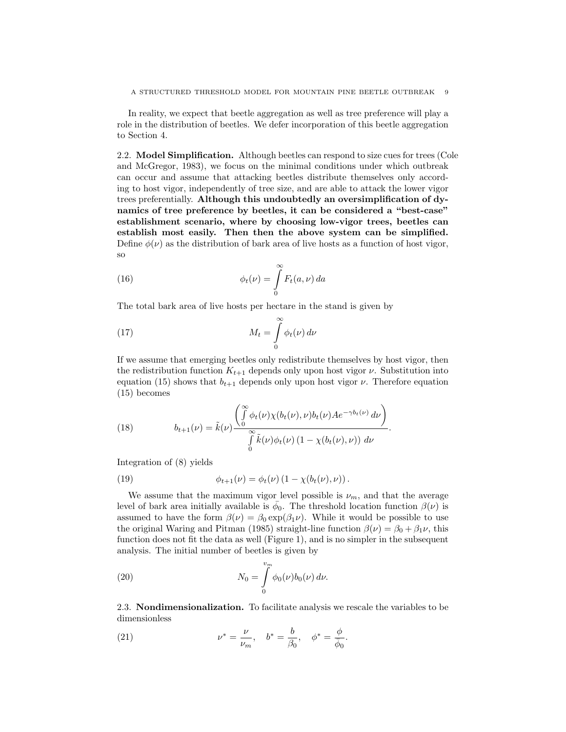In reality, we expect that beetle aggregation as well as tree preference will play a role in the distribution of beetles. We defer incorporation of this beetle aggregation to Section 4.

2.2. Model Simplification. Although beetles can respond to size cues for trees (Cole and McGregor, 1983), we focus on the minimal conditions under which outbreak can occur and assume that attacking beetles distribute themselves only according to host vigor, independently of tree size, and are able to attack the lower vigor trees preferentially. Although this undoubtedly an oversimplification of dynamics of tree preference by beetles, it can be considered a "best-case" establishment scenario, where by choosing low-vigor trees, beetles can establish most easily. Then then the above system can be simplified. Define  $\phi(\nu)$  as the distribution of bark area of live hosts as a function of host vigor, so

(16) 
$$
\phi_t(\nu) = \int_0^\infty F_t(a,\nu) \, da
$$

The total bark area of live hosts per hectare in the stand is given by

(17) 
$$
M_t = \int_0^\infty \phi_t(\nu) d\nu
$$

If we assume that emerging beetles only redistribute themselves by host vigor, then the redistribution function  $K_{t+1}$  depends only upon host vigor  $\nu$ . Substitution into equation (15) shows that  $b_{t+1}$  depends only upon host vigor  $\nu$ . Therefore equation (15) becomes

(18) 
$$
b_{t+1}(\nu) = \tilde{k}(\nu) \frac{\left(\int_{0}^{\infty} \phi_t(\nu) \chi(b_t(\nu), \nu) b_t(\nu) A e^{-\gamma b_t(\nu)} d\nu\right)}{\int_{0}^{\infty} \tilde{k}(\nu) \phi_t(\nu) (1 - \chi(b_t(\nu), \nu)) d\nu}.
$$

Integration of (8) yields

(19) 
$$
\phi_{t+1}(\nu) = \phi_t(\nu) (1 - \chi(b_t(\nu), \nu)).
$$

We assume that the maximum vigor level possible is  $\nu_m$ , and that the average level of bark area initially available is  $\bar{\phi}_0$ . The threshold location function  $\beta(\nu)$  is assumed to have the form  $\beta(\nu) = \beta_0 \exp(\beta_1 \nu)$ . While it would be possible to use the original Waring and Pitman (1985) straight-line function  $\beta(\nu) = \beta_0 + \beta_1 \nu$ , this function does not fit the data as well (Figure 1), and is no simpler in the subsequent analysis. The initial number of beetles is given by

(20) 
$$
N_0 = \int_0^{v_m} \phi_0(\nu) b_0(\nu) d\nu.
$$

2.3. Nondimensionalization. To facilitate analysis we rescale the variables to be dimensionless

(21) 
$$
\nu^* = \frac{\nu}{\nu_m}, \quad b^* = \frac{b}{\beta_0}, \quad \phi^* = \frac{\phi}{\bar{\phi}_0}.
$$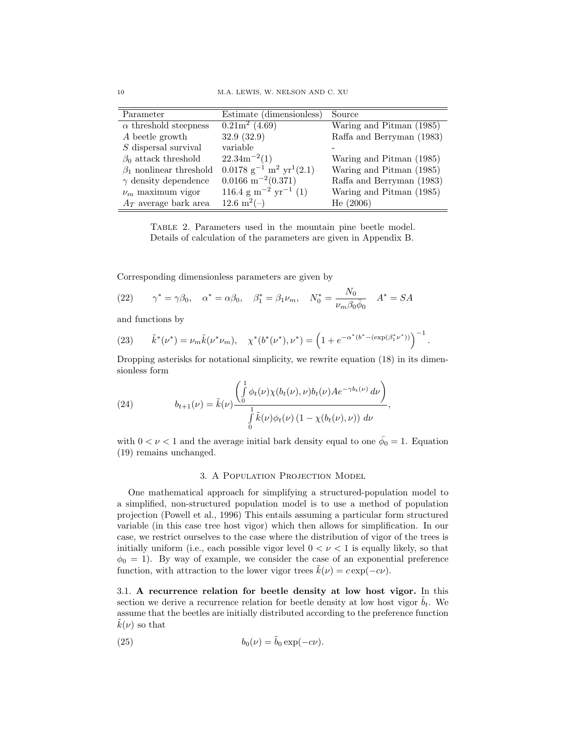| Parameter                     | Estimate (dimensionless)                              | Source                    |
|-------------------------------|-------------------------------------------------------|---------------------------|
| $\alpha$ threshold steepness  | $\sqrt{0.21m^2(4.69)}$                                | Waring and Pitman (1985)  |
| A beetle growth               | 32.9 (32.9)                                           | Raffa and Berryman (1983) |
| $S$ dispersal survival        | variable                                              |                           |
| $\beta_0$ attack threshold    | $22.34m^{-2}(1)$                                      | Waring and Pitman (1985)  |
| $\beta_1$ nonlinear threshold | $0.0178 \text{ g}^{-1} \text{ m}^2 \text{ yr}^1(2.1)$ | Waring and Pitman (1985)  |
| $\gamma$ density dependence   | $0.0166 \text{ m}^{-2}(0.371)$                        | Raffa and Berryman (1983) |
| $\nu_m$ maximum vigor         | $116.4 \text{ g m}^{-2} \text{ yr}^{-1}$ (1)          | Waring and Pitman (1985)  |
| $A_T$ average bark area       | $12.6 \text{ m}^2(-)$                                 | He(2006)                  |

Table 2. Parameters used in the mountain pine beetle model. Details of calculation of the parameters are given in Appendix B.

Corresponding dimensionless parameters are given by

(22) 
$$
\gamma^* = \gamma \beta_0, \quad \alpha^* = \alpha \beta_0, \quad \beta_1^* = \beta_1 \nu_m, \quad N_0^* = \frac{N_0}{\nu_m \beta_0 \bar{\phi}_0} \quad A^* = SA
$$

and functions by

(23) 
$$
\tilde{k}^*(\nu^*) = \nu_m \tilde{k}(\nu^*\nu_m), \quad \chi^*(b^*(\nu^*), \nu^*) = \left(1 + e^{-\alpha^*(b^* - (\exp(\beta_1^*\nu^*))}\right)^{-1}.
$$

Dropping asterisks for notational simplicity, we rewrite equation (18) in its dimensionless form

(24) 
$$
b_{t+1}(\nu) = \tilde{k}(\nu) \frac{\left(\int_0^1 \phi_t(\nu) \chi(b_t(\nu), \nu) b_t(\nu) A e^{-\gamma b_t(\nu)} d\nu\right)}{\int_0^1 \tilde{k}(\nu) \phi_t(\nu) (1 - \chi(b_t(\nu), \nu)) d\nu},
$$

with  $0 < \nu < 1$  and the average initial bark density equal to one  $\bar{\phi}_0 = 1$ . Equation (19) remains unchanged.

### 3. A Population Projection Model

One mathematical approach for simplifying a structured-population model to a simplified, non-structured population model is to use a method of population projection (Powell et al., 1996) This entails assuming a particular form structured variable (in this case tree host vigor) which then allows for simplification. In our case, we restrict ourselves to the case where the distribution of vigor of the trees is initially uniform (i.e., each possible vigor level  $0 < \nu < 1$  is equally likely, so that  $\phi_0 = 1$ ). By way of example, we consider the case of an exponential preference function, with attraction to the lower vigor trees  $\tilde{k}(\nu) = c \exp(-c\nu)$ .

3.1. A recurrence relation for beetle density at low host vigor. In this section we derive a recurrence relation for beetle density at low host vigor  $b_t$ . We assume that the beetles are initially distributed according to the preference function  $k(\nu)$  so that

(25) 
$$
b_0(\nu) = \tilde{b}_0 \exp(-c\nu).
$$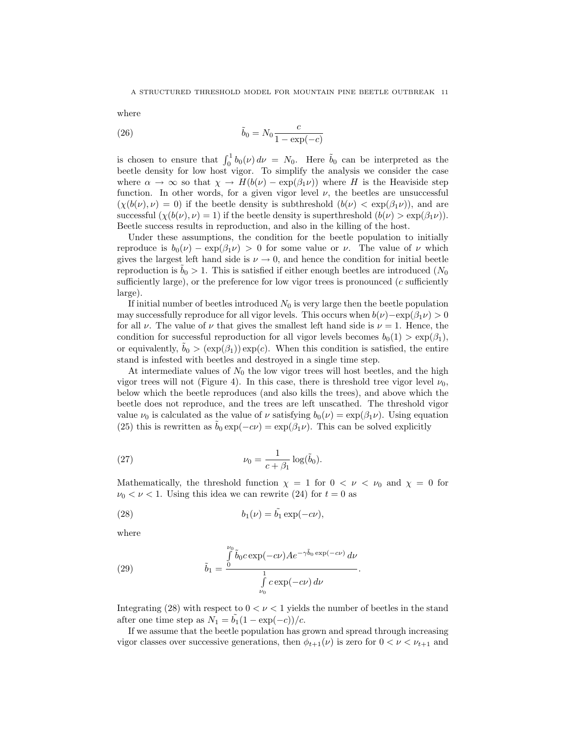where

(26) 
$$
\tilde{b}_0 = N_0 \frac{c}{1 - \exp(-c)}
$$

is chosen to ensure that  $\int_0^1 b_0(\nu) d\nu = N_0$ . Here  $\tilde{b}_0$  can be interpreted as the beetle density for low host vigor. To simplify the analysis we consider the case where  $\alpha \to \infty$  so that  $\chi \to H(b(\nu) - \exp(\beta_1 \nu))$  where H is the Heaviside step function. In other words, for a given vigor level  $\nu$ , the beetles are unsuccessful  $(\chi(b(\nu), \nu) = 0)$  if the beetle density is subthreshold  $(b(\nu) < \exp(\beta_1 \nu))$ , and are successful  $(\chi(b(\nu), \nu) = 1)$  if the beetle density is superthreshold  $(b(\nu) > \exp(\beta_1 \nu))$ . Beetle success results in reproduction, and also in the killing of the host.

Under these assumptions, the condition for the beetle population to initially reproduce is  $b_0(\nu) - \exp(\beta_1 \nu) > 0$  for some value or  $\nu$ . The value of  $\nu$  which gives the largest left hand side is  $\nu \rightarrow 0$ , and hence the condition for initial beetle reproduction is  $b_0 > 1$ . This is satisfied if either enough beetles are introduced ( $N_0$ ) sufficiently large), or the preference for low vigor trees is pronounced  $(c$  sufficiently large).

If initial number of beetles introduced  $N_0$  is very large then the beetle population may successfully reproduce for all vigor levels. This occurs when  $b(\nu)$  –exp( $\beta_1 \nu$ ) > 0 for all  $\nu$ . The value of  $\nu$  that gives the smallest left hand side is  $\nu = 1$ . Hence, the condition for successful reproduction for all vigor levels becomes  $b_0(1) > \exp(\beta_1)$ , or equivalently,  $b_0 > (exp(\beta_1)) exp(c)$ . When this condition is satisfied, the entire stand is infested with beetles and destroyed in a single time step.

At intermediate values of  $N_0$  the low vigor trees will host beetles, and the high vigor trees will not (Figure 4). In this case, there is threshold tree vigor level  $\nu_0$ , below which the beetle reproduces (and also kills the trees), and above which the beetle does not reproduce, and the trees are left unscathed. The threshold vigor value  $\nu_0$  is calculated as the value of  $\nu$  satisfying  $b_0(\nu) = \exp(\beta_1 \nu)$ . Using equation (25) this is rewritten as  $\tilde{b}_0 \exp(-c\nu) = \exp(\beta_1 \nu)$ . This can be solved explicitly

(27) 
$$
\nu_0 = \frac{1}{c + \beta_1} \log(\tilde{b}_0).
$$

Mathematically, the threshold function  $\chi = 1$  for  $0 < \nu < \nu_0$  and  $\chi = 0$  for  $\nu_0 < \nu < 1$ . Using this idea we can rewrite (24) for  $t = 0$  as

(28) 
$$
b_1(\nu) = \tilde{b_1} \exp(-c\nu),
$$

where

(29) 
$$
\tilde{b}_1 = \frac{\int\limits_{0}^{\nu_0} \tilde{b}_0 c \exp(-c\nu) A e^{-\gamma \tilde{b}_0 \exp(-c\nu)} d\nu}{\int\limits_{\nu_0}^1 c \exp(-c\nu) d\nu}
$$

Integrating (28) with respect to  $0 < \nu < 1$  yields the number of beetles in the stand after one time step as  $N_1 = b_1(1 - \exp(-c))/c$ .

.

If we assume that the beetle population has grown and spread through increasing vigor classes over successive generations, then  $\phi_{t+1}(\nu)$  is zero for  $0 < \nu < \nu_{t+1}$  and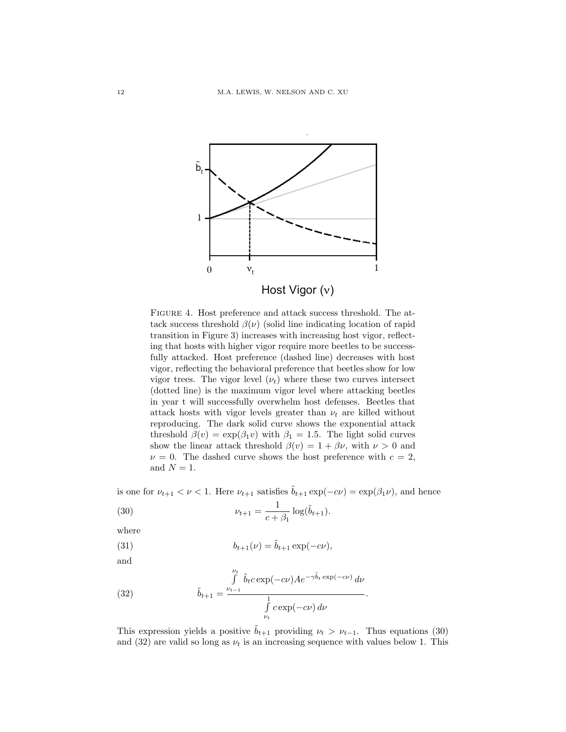

Figure 4. Host preference and attack success threshold. The attack success threshold  $\beta(\nu)$  (solid line indicating location of rapid transition in Figure 3) increases with increasing host vigor, reflecting that hosts with higher vigor require more beetles to be successfully attacked. Host preference (dashed line) decreases with host vigor, reflecting the behavioral preference that beetles show for low vigor trees. The vigor level  $(\nu_t)$  where these two curves intersect (dotted line) is the maximum vigor level where attacking beetles in year t will successfully overwhelm host defenses. Beetles that attack hosts with vigor levels greater than  $\nu_t$  are killed without reproducing. The dark solid curve shows the exponential attack threshold  $\beta(v) = \exp(\beta_1 v)$  with  $\beta_1 = 1.5$ . The light solid curves show the linear attack threshold  $\beta(v) = 1 + \beta \nu$ , with  $\nu > 0$  and  $\nu = 0$ . The dashed curve shows the host preference with  $c = 2$ , and  $N = 1$ .

is one for  $\nu_{t+1} < \nu < 1$ . Here  $\nu_{t+1}$  satisfies  $\tilde{b}_{t+1} \exp(-c\nu) = \exp(\beta_1 \nu)$ , and hence

(30) 
$$
\nu_{t+1} = \frac{1}{c + \beta_1} \log(\tilde{b}_{t+1}).
$$

where

(31) 
$$
b_{t+1}(\nu) = \tilde{b}_{t+1} \exp(-c\nu),
$$

and

(32) 
$$
\tilde{b}_{t+1} = \frac{\int\limits_{\nu_{t-1}}^{\nu_t} \tilde{b}_t c \exp(-c\nu) A e^{-\gamma \tilde{b}_t \exp(-c\nu)} d\nu}{\int\limits_{\nu_t}^1 c \exp(-c\nu) d\nu}
$$

This expression yields a positive  $b_{t+1}$  providing  $\nu_t > \nu_{t-1}$ . Thus equations (30) and (32) are valid so long as  $\nu_t$  is an increasing sequence with values below 1. This

.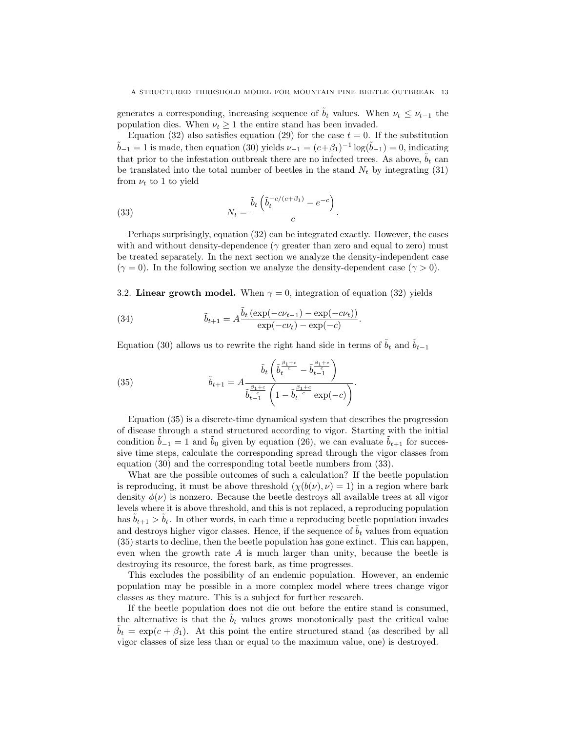generates a corresponding, increasing sequence of  $\tilde{b}_t$  values. When  $\nu_t \leq \nu_{t-1}$  the population dies. When  $\nu_t \geq 1$  the entire stand has been invaded.

Equation (32) also satisfies equation (29) for the case  $t = 0$ . If the substitution  $\tilde{b}_{-1} = 1$  is made, then equation (30) yields  $\nu_{-1} = (c + \beta_1)^{-1} \log(\tilde{b}_{-1}) = 0$ , indicating that prior to the infestation outbreak there are no infected trees. As above,  $\tilde{b}_t$  can be translated into the total number of beetles in the stand  $N_t$  by integrating (31) from  $\nu_t$  to 1 to yield

(33) 
$$
N_t = \frac{\tilde{b}_t \left( \tilde{b}_t^{-c/(c+\beta_1)} - e^{-c} \right)}{c}.
$$

Perhaps surprisingly, equation (32) can be integrated exactly. However, the cases with and without density-dependence ( $\gamma$  greater than zero and equal to zero) must be treated separately. In the next section we analyze the density-independent case  $(\gamma = 0)$ . In the following section we analyze the density-dependent case  $(\gamma > 0)$ .

3.2. Linear growth model. When  $\gamma = 0$ , integration of equation (32) yields

(34) 
$$
\tilde{b}_{t+1} = A \frac{\tilde{b}_t (\exp(-c\nu_{t-1}) - \exp(-c\nu_t))}{\exp(-c\nu_t) - \exp(-c)}.
$$

Equation (30) allows us to rewrite the right hand side in terms of  $\tilde{b}_t$  and  $\tilde{b}_{t-1}$ 

(35) 
$$
\tilde{b}_{t+1} = A \frac{\tilde{b}_t \left( \tilde{b}_t^{\frac{\beta_1+c}{c}} - \tilde{b}_{t-1}^{\frac{\beta_1+c}{c}} \right)}{\tilde{b}_{t-1}^{\frac{\beta_1+c}{c}} \left( 1 - \tilde{b}_t^{\frac{\beta_1+c}{c}} \exp(-c) \right)}.
$$

Equation (35) is a discrete-time dynamical system that describes the progression of disease through a stand structured according to vigor. Starting with the initial condition  $b_{-1} = 1$  and  $b_0$  given by equation (26), we can evaluate  $b_{t+1}$  for successive time steps, calculate the corresponding spread through the vigor classes from equation (30) and the corresponding total beetle numbers from (33).

What are the possible outcomes of such a calculation? If the beetle population is reproducing, it must be above threshold  $(\chi(b(\nu), \nu) = 1)$  in a region where bark density  $\phi(\nu)$  is nonzero. Because the beetle destroys all available trees at all vigor levels where it is above threshold, and this is not replaced, a reproducing population has  $b_{t+1} > b_t$ . In other words, in each time a reproducing beetle population invades and destroys higher vigor classes. Hence, if the sequence of  $b_t$  values from equation (35) starts to decline, then the beetle population has gone extinct. This can happen, even when the growth rate  $A$  is much larger than unity, because the beetle is destroying its resource, the forest bark, as time progresses.

This excludes the possibility of an endemic population. However, an endemic population may be possible in a more complex model where trees change vigor classes as they mature. This is a subject for further research.

If the beetle population does not die out before the entire stand is consumed, the alternative is that the  $b_t$  values grows monotonically past the critical value  $b_t = \exp(c + \beta_1)$ . At this point the entire structured stand (as described by all vigor classes of size less than or equal to the maximum value, one) is destroyed.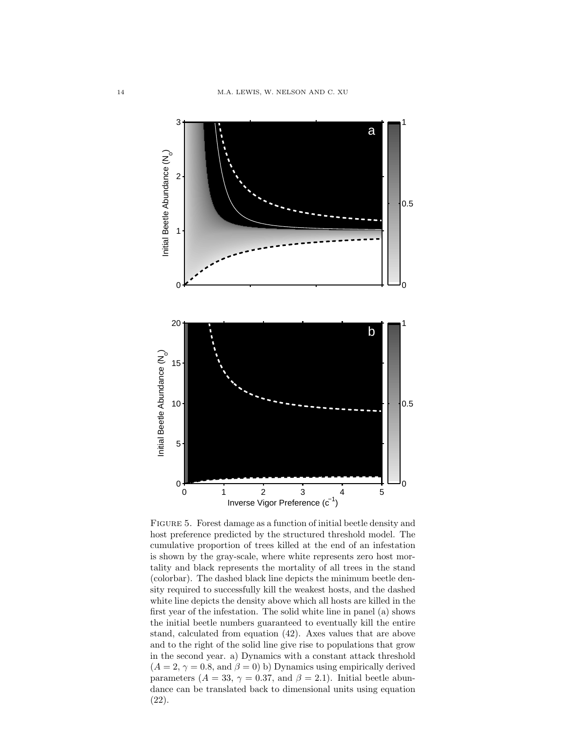

FIGURE 5. Forest damage as a function of initial beetle density and host preference predicted by the structured threshold model. The cumulative proportion of trees killed at the end of an infestation is shown by the gray-scale, where white represents zero host mortality and black represents the mortality of all trees in the stand (colorbar). The dashed black line depicts the minimum beetle density required to successfully kill the weakest hosts, and the dashed white line depicts the density above which all hosts are killed in the first year of the infestation. The solid white line in panel (a) shows the initial beetle numbers guaranteed to eventually kill the entire stand, calculated from equation (42). Axes values that are above and to the right of the solid line give rise to populations that grow in the second year. a) Dynamics with a constant attack threshold  $(A = 2, \gamma = 0.8, \text{ and } \beta = 0)$  b) Dynamics using empirically derived parameters ( $A = 33$ ,  $\gamma = 0.37$ , and  $\beta = 2.1$ ). Initial beetle abundance can be translated back to dimensional units using equation (22).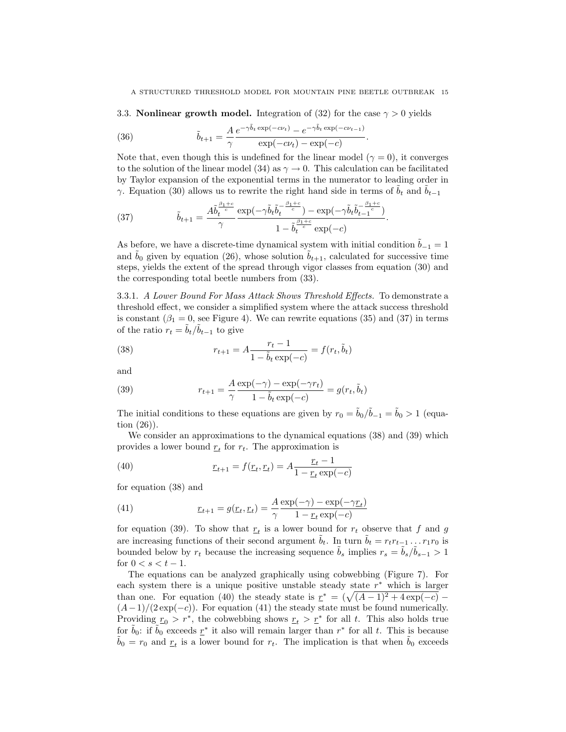3.3. **Nonlinear growth model.** Integration of (32) for the case  $\gamma > 0$  yields

(36) 
$$
\tilde{b}_{t+1} = \frac{A}{\gamma} \frac{e^{-\gamma \tilde{b}_t \exp(-c\nu_t)} - e^{-\gamma \tilde{b}_t \exp(-c\nu_{t-1})}}{\exp(-c\nu_t) - \exp(-c)}.
$$

Note that, even though this is undefined for the linear model ( $\gamma = 0$ ), it converges to the solution of the linear model (34) as  $\gamma \to 0$ . This calculation can be facilitated by Taylor expansion of the exponential terms in the numerator to leading order in γ. Equation (30) allows us to rewrite the right hand side in terms of  $b_t$  and  $b_{t-1}$ 

(37) 
$$
\tilde{b}_{t+1} = \frac{A\tilde{b}_t^{\frac{\beta_1+c}{c}}}{\gamma} \frac{\exp(-\gamma \tilde{b}_t \tilde{b}_t^{-\frac{\beta_1+c}{c}}) - \exp(-\gamma \tilde{b}_t \tilde{b}_{t-1}^{-\frac{\beta_1+c}{c}})}{1 - \tilde{b}_t^{\frac{\beta_1+c}{c}} \exp(-c)}.
$$

As before, we have a discrete-time dynamical system with initial condition  $\tilde{b}_{-1} = 1$ and  $b_0$  given by equation (26), whose solution  $b_{t+1}$ , calculated for successive time steps, yields the extent of the spread through vigor classes from equation (30) and the corresponding total beetle numbers from (33).

3.3.1. A Lower Bound For Mass Attack Shows Threshold Effects. To demonstrate a threshold effect, we consider a simplified system where the attack success threshold is constant ( $\beta_1 = 0$ , see Figure 4). We can rewrite equations (35) and (37) in terms of the ratio  $r_t = \tilde{b}_t / \tilde{b}_{t-1}$  to give

(38) 
$$
r_{t+1} = A \frac{r_t - 1}{1 - \tilde{b}_t \exp(-c)} = f(r_t, \tilde{b}_t)
$$

and

(39) 
$$
r_{t+1} = \frac{A}{\gamma} \frac{\exp(-\gamma) - \exp(-\gamma r_t)}{1 - \tilde{b}_t \exp(-c)} = g(r_t, \tilde{b}_t)
$$

The initial conditions to these equations are given by  $r_0 = \tilde{b}_0 / \tilde{b}_{-1} = \tilde{b}_0 > 1$  (equation (26)).

We consider an approximations to the dynamical equations (38) and (39) which provides a lower bound  $r_t$  for  $r_t$ . The approximation is

(40) 
$$
\underline{r}_{t+1} = f(\underline{r}_t, \underline{r}_t) = A \frac{\underline{r}_t - 1}{1 - \underline{r}_t \exp(-c)}
$$

for equation (38) and

(41) 
$$
x_{t+1} = g(x_t, x_t) = \frac{A}{\gamma} \frac{\exp(-\gamma) - \exp(-\gamma x_t)}{1 - x_t \exp(-c)}
$$

for equation (39). To show that  $r_t$  is a lower bound for  $r_t$  observe that f and g are increasing functions of their second argument  $\tilde{b}_t$ . In turn  $\tilde{b}_t = r_t r_{t-1} \dots r_1 r_0$  is bounded below by  $r_t$  because the increasing sequence  $\tilde{b}_s$  implies  $r_s = \tilde{b}_s/\tilde{b}_{s-1} > 1$ for  $0 < s < t - 1$ .

The equations can be analyzed graphically using cobwebbing (Figure 7). For each system there is a unique positive unstable steady state  $r^*$  which is larger than one. For equation (40) the steady state is  $r^* = (\sqrt{(A-1)^2 + 4 \exp(-c)} (A-1)/(2 \exp(-c))$ . For equation (41) the steady state must be found numerically. Providing  $r_0 > r^*$ , the cobwebbing shows  $r_t > r^*$  for all t. This also holds true for  $\tilde{b}_0$ : if  $\tilde{b}_0$  exceeds  $\underline{r}^*$  it also will remain larger than  $r^*$  for all t. This is because  $\tilde{b}_0 = r_0$  and  $r_t$  is a lower bound for  $r_t$ . The implication is that when  $\tilde{b}_0$  exceeds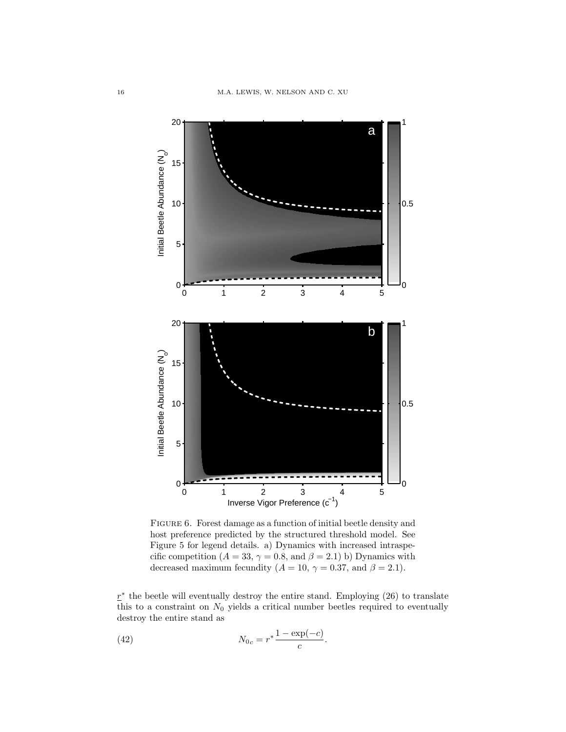

FIGURE 6. Forest damage as a function of initial beetle density and host preference predicted by the structured threshold model. See Figure 5 for legend details. a) Dynamics with increased intraspecific competition ( $A = 33$ ,  $\gamma = 0.8$ , and  $\beta = 2.1$ ) b) Dynamics with decreased maximum fecundity ( $A = 10$ ,  $\gamma = 0.37$ , and  $\beta = 2.1$ ).

 $\underline{r}^*$  the beetle will eventually destroy the entire stand. Employing (26) to translate this to a constraint on  $N_0$  yields a critical number beetles required to eventually destroy the entire stand as

.

(42) 
$$
N_{0c} = r^* \frac{1 - \exp(-c)}{c}
$$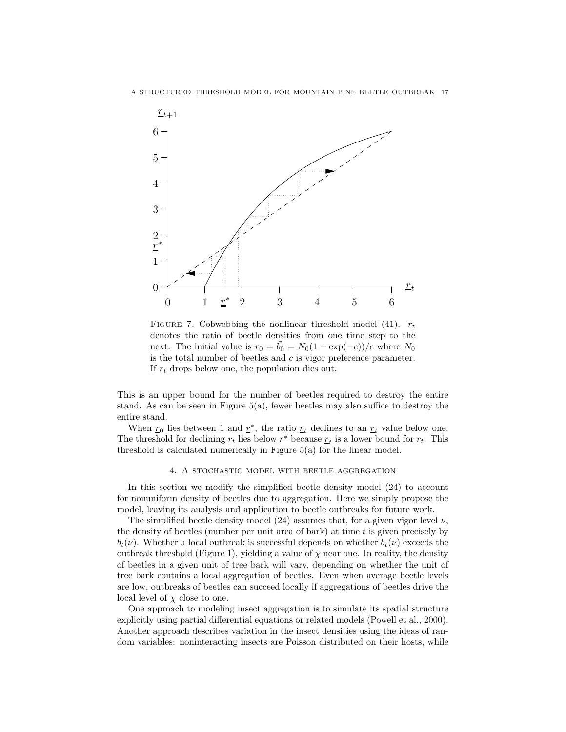

FIGURE 7. Cobwebbing the nonlinear threshold model (41).  $r_t$ denotes the ratio of beetle densities from one time step to the next. The initial value is  $r_0 = b_0 = N_0(1 - \exp(-c))/c$  where  $N_0$ is the total number of beetles and  $c$  is vigor preference parameter. If  $r_t$  drops below one, the population dies out.

This is an upper bound for the number of beetles required to destroy the entire stand. As can be seen in Figure  $5(a)$ , fewer beetles may also suffice to destroy the entire stand.

When  $r_0$  lies between 1 and  $r^*$ , the ratio  $r_t$  declines to an  $r_t$  value below one. The threshold for declining  $r_t$  lies below  $r^*$  because  $r_t$  is a lower bound for  $r_t$ . This threshold is calculated numerically in Figure 5(a) for the linear model.

#### 4. A stochastic model with beetle aggregation

In this section we modify the simplified beetle density model (24) to account for nonuniform density of beetles due to aggregation. Here we simply propose the model, leaving its analysis and application to beetle outbreaks for future work.

The simplified beetle density model  $(24)$  assumes that, for a given vigor level  $\nu$ , the density of beetles (number per unit area of bark) at time  $t$  is given precisely by  $b_t(\nu)$ . Whether a local outbreak is successful depends on whether  $b_t(\nu)$  exceeds the outbreak threshold (Figure 1), yielding a value of  $\chi$  near one. In reality, the density of beetles in a given unit of tree bark will vary, depending on whether the unit of tree bark contains a local aggregation of beetles. Even when average beetle levels are low, outbreaks of beetles can succeed locally if aggregations of beetles drive the local level of  $\chi$  close to one.

One approach to modeling insect aggregation is to simulate its spatial structure explicitly using partial differential equations or related models (Powell et al., 2000). Another approach describes variation in the insect densities using the ideas of random variables: noninteracting insects are Poisson distributed on their hosts, while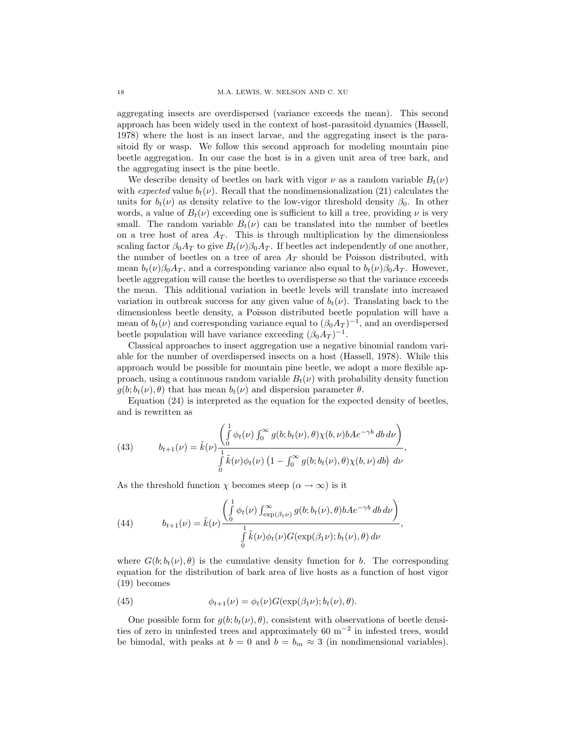aggregating insects are overdispersed (variance exceeds the mean). This second approach has been widely used in the context of host-parasitoid dynamics (Hassell, 1978) where the host is an insect larvae, and the aggregating insect is the parasitoid fly or wasp. We follow this second approach for modeling mountain pine beetle aggregation. In our case the host is in a given unit area of tree bark, and the aggregating insect is the pine beetle.

We describe density of beetles on bark with vigor  $\nu$  as a random variable  $B_t(\nu)$ with expected value  $b_t(\nu)$ . Recall that the nondimensionalization (21) calculates the units for  $b_t(\nu)$  as density relative to the low-vigor threshold density  $\beta_0$ . In other words, a value of  $B_t(\nu)$  exceeding one is sufficient to kill a tree, providing  $\nu$  is very small. The random variable  $B_t(\nu)$  can be translated into the number of beetles on a tree host of area  $A_T$ . This is through multiplication by the dimensionless scaling factor  $\beta_0 A_T$  to give  $B_t(\nu) \beta_0 A_T$ . If beetles act independently of one another, the number of beetles on a tree of area  $A_T$  should be Poisson distributed, with mean  $b_t(\nu)\beta_0A_T$ , and a corresponding variance also equal to  $b_t(\nu)\beta_0A_T$ . However, beetle aggregation will cause the beetles to overdisperse so that the variance exceeds the mean. This additional variation in beetle levels will translate into increased variation in outbreak success for any given value of  $b_t(\nu)$ . Translating back to the dimensionless beetle density, a Poisson distributed beetle population will have a mean of  $b_t(\nu)$  and corresponding variance equal to  $(\beta_0 A_T)^{-1}$ , and an overdispersed beetle population will have variance exceeding  $(\beta_0 A_T)^{-1}$ .

Classical approaches to insect aggregation use a negative binomial random variable for the number of overdispersed insects on a host (Hassell, 1978). While this approach would be possible for mountain pine beetle, we adopt a more flexible approach, using a continuous random variable  $B_t(\nu)$  with probability density function  $g(b; b_t(\nu), \theta)$  that has mean  $b_t(\nu)$  and dispersion parameter  $\theta$ .

Equation (24) is interpreted as the equation for the expected density of beetles, and is rewritten as

(43) 
$$
b_{t+1}(\nu) = \tilde{k}(\nu) \frac{\left(\int_0^1 \phi_t(\nu) \int_0^\infty g(b; b_t(\nu), \theta) \chi(b, \nu) b A e^{-\gamma b} d b d\nu\right)}{\int_0^1 \tilde{k}(\nu) \phi_t(\nu) \left(1 - \int_0^\infty g(b; b_t(\nu), \theta) \chi(b, \nu) d b\right) d\nu},
$$

As the threshold function  $\chi$  becomes steep  $(\alpha \to \infty)$  is it

(44) 
$$
b_{t+1}(\nu) = \tilde{k}(\nu) \frac{\left(\int_0^1 \phi_t(\nu) \int_{\exp(\beta_1 \nu)}^{\infty} g(b; b_t(\nu), \theta) b A e^{-\gamma b} db d\nu\right)}{\int_0^1 \tilde{k}(\nu) \phi_t(\nu) G(\exp(\beta_1 \nu); b_t(\nu), \theta) d\nu},
$$

where  $G(b; b_t(\nu), \theta)$  is the cumulative density function for b. The corresponding equation for the distribution of bark area of live hosts as a function of host vigor (19) becomes

(45) 
$$
\phi_{t+1}(\nu) = \phi_t(\nu) G(\exp(\beta_1 \nu); b_t(\nu), \theta).
$$

One possible form for  $g(b; b_t(\nu), \theta)$ , consistent with observations of beetle densities of zero in uninfested trees and approximately 60 m−<sup>2</sup> in infested trees, would be bimodal, with peaks at  $b = 0$  and  $b = b_m \approx 3$  (in nondimensional variables).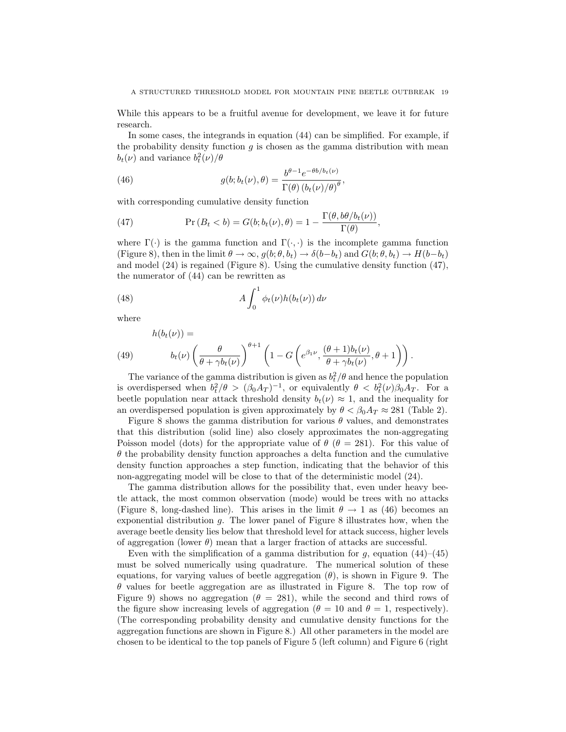While this appears to be a fruitful avenue for development, we leave it for future research.

In some cases, the integrands in equation (44) can be simplified. For example, if the probability density function  $g$  is chosen as the gamma distribution with mean  $b_t(\nu)$  and variance  $b_t^2(\nu)/\theta$ 

(46) 
$$
g(b; b_t(\nu), \theta) = \frac{b^{\theta - 1} e^{-\theta b / b_t(\nu)}}{\Gamma(\theta) (b_t(\nu)/\theta)^{\theta}},
$$

with corresponding cumulative density function

(47) 
$$
\Pr(B_t < b) = G(b; b_t(\nu), \theta) = 1 - \frac{\Gamma(\theta, b\theta/b_t(\nu))}{\Gamma(\theta)},
$$

where  $\Gamma(\cdot)$  is the gamma function and  $\Gamma(\cdot, \cdot)$  is the incomplete gamma function (Figure 8), then in the limit  $\theta \to \infty$ ,  $g(b; \theta, b_t) \to \delta(b-b_t)$  and  $G(b; \theta, b_t) \to H(b-b_t)$ and model (24) is regained (Figure 8). Using the cumulative density function (47), the numerator of (44) can be rewritten as

(48) 
$$
A \int_0^1 \phi_t(\nu) h(b_t(\nu)) d\nu
$$

where

 $h(h(t)) =$ 

(49) 
$$
b_t(\nu) \left(\frac{\theta}{\theta + \gamma b_t(\nu)}\right)^{\theta+1} \left(1 - G\left(e^{\beta_1 \nu}, \frac{(\theta+1)b_t(\nu)}{\theta + \gamma b_t(\nu)}, \theta+1\right)\right).
$$

The variance of the gamma distribution is given as  $b_t^2/\theta$  and hence the population is overdispersed when  $b_t^2/\theta > (\beta_0 A_T)^{-1}$ , or equivalently  $\theta < b_t^2(\nu)\beta_0 A_T$ . For a beetle population near attack threshold density  $b_t(\nu) \approx 1$ , and the inequality for an overdispersed population is given approximately by  $\theta < \beta_0 A_T \approx 281$  (Table 2).

Figure 8 shows the gamma distribution for various  $\theta$  values, and demonstrates that this distribution (solid line) also closely approximates the non-aggregating Poisson model (dots) for the appropriate value of  $\theta$  ( $\theta = 281$ ). For this value of  $\theta$  the probability density function approaches a delta function and the cumulative density function approaches a step function, indicating that the behavior of this non-aggregating model will be close to that of the deterministic model (24).

The gamma distribution allows for the possibility that, even under heavy beetle attack, the most common observation (mode) would be trees with no attacks (Figure 8, long-dashed line). This arises in the limit  $\theta \to 1$  as (46) becomes an exponential distribution  $g$ . The lower panel of Figure 8 illustrates how, when the average beetle density lies below that threshold level for attack success, higher levels of aggregation (lower  $\theta$ ) mean that a larger fraction of attacks are successful.

Even with the simplification of a gamma distribution for  $g$ , equation  $(44)$ – $(45)$ must be solved numerically using quadrature. The numerical solution of these equations, for varying values of beetle aggregation  $(\theta)$ , is shown in Figure 9. The  $\theta$  values for beetle aggregation are as illustrated in Figure 8. The top row of Figure 9) shows no aggregation ( $\theta = 281$ ), while the second and third rows of the figure show increasing levels of aggregation ( $\theta = 10$  and  $\theta = 1$ , respectively). (The corresponding probability density and cumulative density functions for the aggregation functions are shown in Figure 8.) All other parameters in the model are chosen to be identical to the top panels of Figure 5 (left column) and Figure 6 (right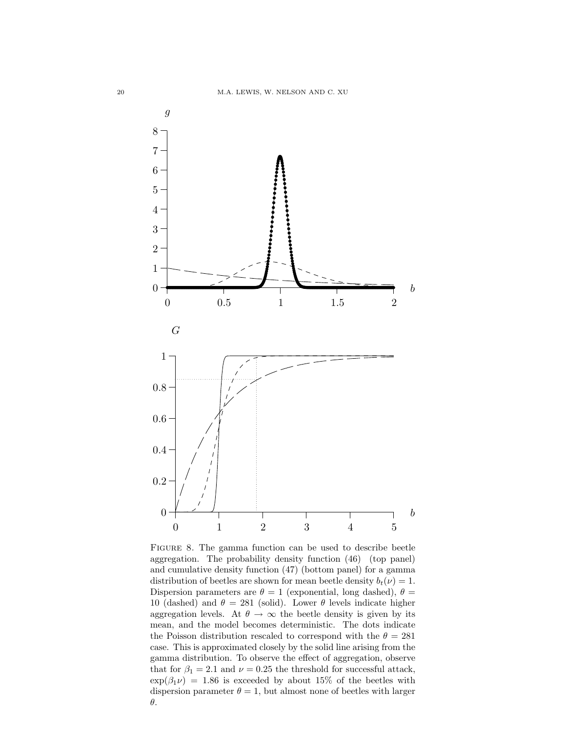

Figure 8. The gamma function can be used to describe beetle aggregation. The probability density function (46) (top panel) and cumulative density function (47) (bottom panel) for a gamma distribution of beetles are shown for mean beetle density  $b_t(\nu) = 1$ . Dispersion parameters are  $\theta = 1$  (exponential, long dashed),  $\theta =$ 10 (dashed) and  $\theta = 281$  (solid). Lower  $\theta$  levels indicate higher aggregation levels. At  $\theta \to \infty$  the beetle density is given by its mean, and the model becomes deterministic. The dots indicate the Poisson distribution rescaled to correspond with the  $\theta = 281$ case. This is approximated closely by the solid line arising from the gamma distribution. To observe the effect of aggregation, observe that for  $\beta_1 = 2.1$  and  $\nu = 0.25$  the threshold for successful attack,  $\exp(\beta_1 \nu) = 1.86$  is exceeded by about 15% of the beetles with dispersion parameter  $\theta = 1$ , but almost none of beetles with larger θ.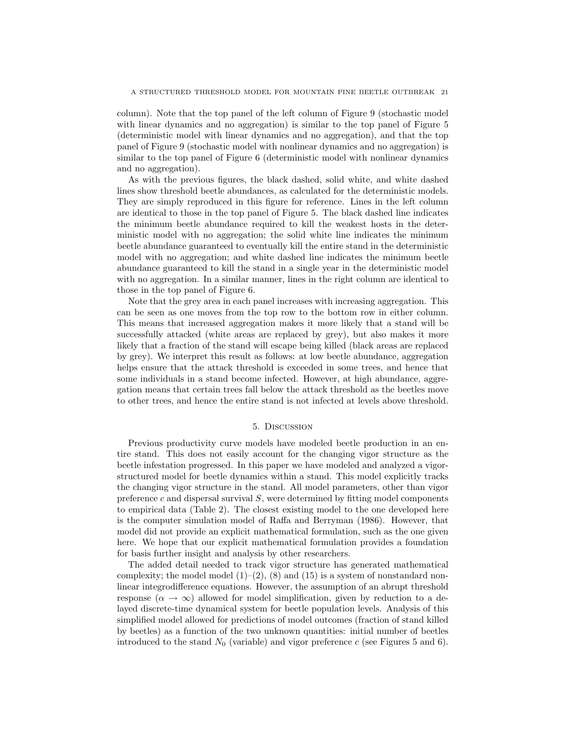column). Note that the top panel of the left column of Figure 9 (stochastic model with linear dynamics and no aggregation) is similar to the top panel of Figure 5 (deterministic model with linear dynamics and no aggregation), and that the top panel of Figure 9 (stochastic model with nonlinear dynamics and no aggregation) is similar to the top panel of Figure 6 (deterministic model with nonlinear dynamics and no aggregation).

As with the previous figures, the black dashed, solid white, and white dashed lines show threshold beetle abundances, as calculated for the deterministic models. They are simply reproduced in this figure for reference. Lines in the left column are identical to those in the top panel of Figure 5. The black dashed line indicates the minimum beetle abundance required to kill the weakest hosts in the deterministic model with no aggregation; the solid white line indicates the minimum beetle abundance guaranteed to eventually kill the entire stand in the deterministic model with no aggregation; and white dashed line indicates the minimum beetle abundance guaranteed to kill the stand in a single year in the deterministic model with no aggregation. In a similar manner, lines in the right column are identical to those in the top panel of Figure 6.

Note that the grey area in each panel increases with increasing aggregation. This can be seen as one moves from the top row to the bottom row in either column. This means that increased aggregation makes it more likely that a stand will be successfully attacked (white areas are replaced by grey), but also makes it more likely that a fraction of the stand will escape being killed (black areas are replaced by grey). We interpret this result as follows: at low beetle abundance, aggregation helps ensure that the attack threshold is exceeded in some trees, and hence that some individuals in a stand become infected. However, at high abundance, aggregation means that certain trees fall below the attack threshold as the beetles move to other trees, and hence the entire stand is not infected at levels above threshold.

#### 5. Discussion

Previous productivity curve models have modeled beetle production in an entire stand. This does not easily account for the changing vigor structure as the beetle infestation progressed. In this paper we have modeled and analyzed a vigorstructured model for beetle dynamics within a stand. This model explicitly tracks the changing vigor structure in the stand. All model parameters, other than vigor preference  $c$  and dispersal survival  $S$ , were determined by fitting model components to empirical data (Table 2). The closest existing model to the one developed here is the computer simulation model of Raffa and Berryman (1986). However, that model did not provide an explicit mathematical formulation, such as the one given here. We hope that our explicit mathematical formulation provides a foundation for basis further insight and analysis by other researchers.

The added detail needed to track vigor structure has generated mathematical complexity; the model model  $(1)-(2)$ ,  $(8)$  and  $(15)$  is a system of nonstandard nonlinear integrodifference equations. However, the assumption of an abrupt threshold response ( $\alpha \to \infty$ ) allowed for model simplification, given by reduction to a delayed discrete-time dynamical system for beetle population levels. Analysis of this simplified model allowed for predictions of model outcomes (fraction of stand killed by beetles) as a function of the two unknown quantities: initial number of beetles introduced to the stand  $N_0$  (variable) and vigor preference c (see Figures 5 and 6).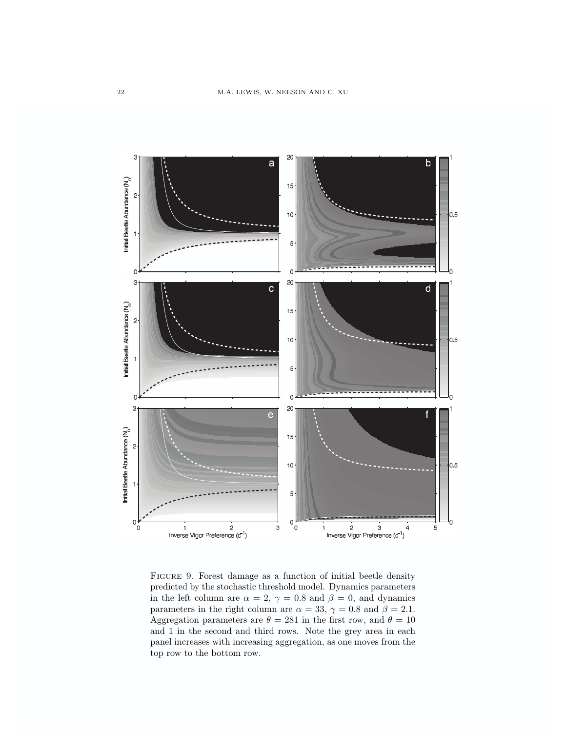

Figure 9. Forest damage as a function of initial beetle density predicted by the stochastic threshold model. Dynamics parameters in the left column are  $\alpha = 2, \gamma = 0.8$  and  $\beta = 0$ , and dynamics parameters in the right column are  $\alpha = 33$ ,  $\gamma = 0.8$  and  $\beta = 2.1$ . Aggregation parameters are  $\theta = 281$  in the first row, and  $\theta = 10$ and 1 in the second and third rows. Note the grey area in each panel increases with increasing aggregation, as one moves from the top row to the bottom row.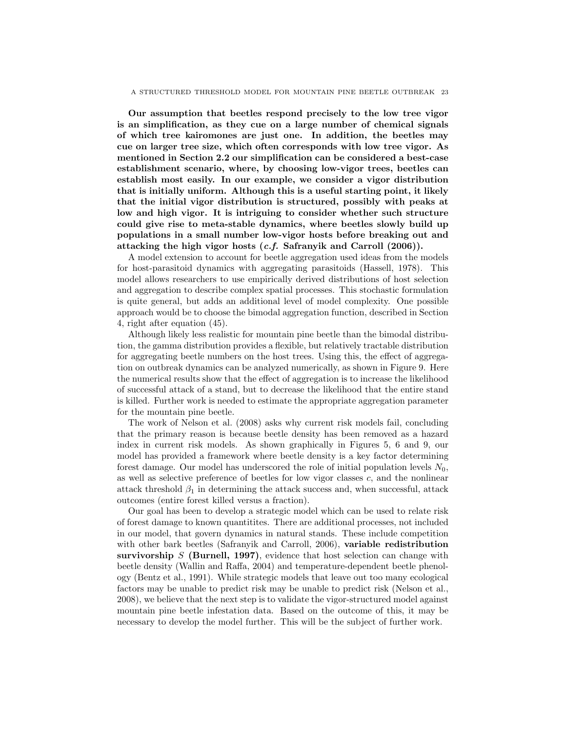Our assumption that beetles respond precisely to the low tree vigor is an simplification, as they cue on a large number of chemical signals of which tree kairomones are just one. In addition, the beetles may cue on larger tree size, which often corresponds with low tree vigor. As mentioned in Section 2.2 our simplification can be considered a best-case establishment scenario, where, by choosing low-vigor trees, beetles can establish most easily. In our example, we consider a vigor distribution that is initially uniform. Although this is a useful starting point, it likely that the initial vigor distribution is structured, possibly with peaks at low and high vigor. It is intriguing to consider whether such structure could give rise to meta-stable dynamics, where beetles slowly build up populations in a small number low-vigor hosts before breaking out and attacking the high vigor hosts (c.f. Safranyik and Carroll (2006)).

A model extension to account for beetle aggregation used ideas from the models for host-parasitoid dynamics with aggregating parasitoids (Hassell, 1978). This model allows researchers to use empirically derived distributions of host selection and aggregation to describe complex spatial processes. This stochastic formulation is quite general, but adds an additional level of model complexity. One possible approach would be to choose the bimodal aggregation function, described in Section 4, right after equation (45).

Although likely less realistic for mountain pine beetle than the bimodal distribution, the gamma distribution provides a flexible, but relatively tractable distribution for aggregating beetle numbers on the host trees. Using this, the effect of aggregation on outbreak dynamics can be analyzed numerically, as shown in Figure 9. Here the numerical results show that the effect of aggregation is to increase the likelihood of successful attack of a stand, but to decrease the likelihood that the entire stand is killed. Further work is needed to estimate the appropriate aggregation parameter for the mountain pine beetle.

The work of Nelson et al. (2008) asks why current risk models fail, concluding that the primary reason is because beetle density has been removed as a hazard index in current risk models. As shown graphically in Figures 5, 6 and 9, our model has provided a framework where beetle density is a key factor determining forest damage. Our model has underscored the role of initial population levels  $N_0$ , as well as selective preference of beetles for low vigor classes c, and the nonlinear attack threshold  $\beta_1$  in determining the attack success and, when successful, attack outcomes (entire forest killed versus a fraction).

Our goal has been to develop a strategic model which can be used to relate risk of forest damage to known quantitites. There are additional processes, not included in our model, that govern dynamics in natural stands. These include competition with other bark beetles (Safranyik and Carroll, 2006), variable redistribution survivorship  $S$  (Burnell, 1997), evidence that host selection can change with beetle density (Wallin and Raffa, 2004) and temperature-dependent beetle phenology (Bentz et al., 1991). While strategic models that leave out too many ecological factors may be unable to predict risk may be unable to predict risk (Nelson et al., 2008), we believe that the next step is to validate the vigor-structured model against mountain pine beetle infestation data. Based on the outcome of this, it may be necessary to develop the model further. This will be the subject of further work.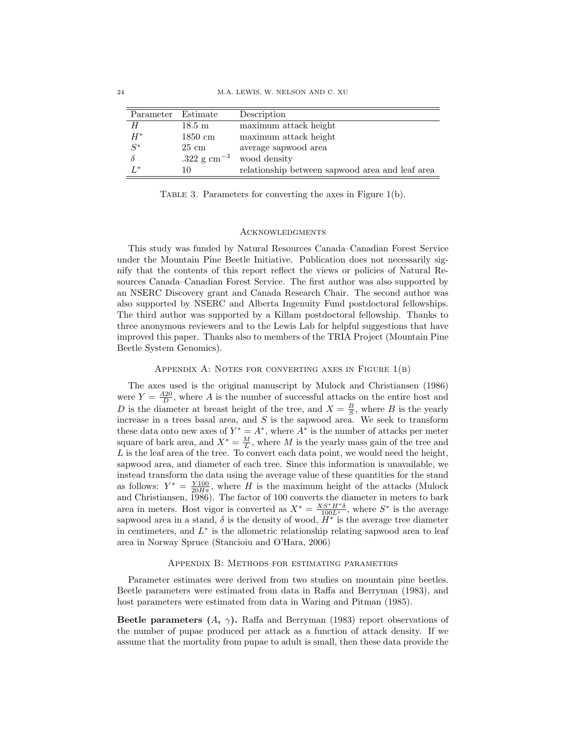| Parameter | Estimate             | Description                                     |
|-----------|----------------------|-------------------------------------------------|
| H         | $18.5 \text{ m}$     | maximum attack height                           |
| $H^*$     | $1850 \text{ cm}$    | maximum attack height                           |
| $S^*$     | $25 \text{ cm}$      | average sapwood area                            |
| $\delta$  | .322 g $\rm cm^{-3}$ | wood density                                    |
| $L^*$     | 10                   | relationship between sapwood area and leaf area |

TABLE 3. Parameters for converting the axes in Figure 1(b).

#### **ACKNOWLEDGMENTS**

This study was funded by Natural Resources Canada–Canadian Forest Service under the Mountain Pine Beetle Initiative. Publication does not necessarily signify that the contents of this report reflect the views or policies of Natural Resources Canada–Canadian Forest Service. The first author was also supported by an NSERC Discovery grant and Canada Research Chair. The second author was also supported by NSERC and Alberta Ingenuity Fund postdoctoral fellowships. The third author was supported by a Killam postdoctoral fellowship. Thanks to three anonymous reviewers and to the Lewis Lab for helpful suggestions that have improved this paper. Thanks also to members of the TRIA Project (Mountain Pine Beetle System Genomics).

# APPENDIX A: NOTES FOR CONVERTING AXES IN FIGURE  $1(B)$

The axes used is the original manuscript by Mulock and Christiansen (1986) were  $Y = \frac{A20}{D}$ , where A is the number of successful attacks on the entire host and D is the diameter at breast height of the tree, and  $X = \frac{B}{S}$ , where B is the yearly increase in a trees basal area, and  $S$  is the sapwood area. We seek to transform these data onto new axes of  $Y^* = A^*$ , where  $A^*$  is the number of attacks per meter square of bark area, and  $X^* = \frac{M}{L}$ , where M is the yearly mass gain of the tree and  $L$  is the leaf area of the tree. To convert each data point, we would need the height, sapwood area, and diameter of each tree. Since this information is unavailable, we instead transform the data using the average value of these quantities for the stand as follows:  $Y^* = \frac{Y100}{20H\pi}$ , where H is the maximum height of the attacks (Mulock and Christiansen, 1986). The factor of 100 converts the diameter in meters to bark area in meters. Host vigor is converted as  $X^* = \frac{XS^*H^*\delta}{100L^*}$ , where  $S^*$  is the average sapwood area in a stand,  $\delta$  is the density of wood,  $H^*$  is the average tree diameter in centimeters, and  $L^*$  is the allometric relationship relating sapwood area to leaf area in Norway Spruce (Stancioiu and O'Hara, 2006)

### Appendix B: Methods for estimating parameters

Parameter estimates were derived from two studies on mountain pine beetles. Beetle parameters were estimated from data in Raffa and Berryman (1983), and host parameters were estimated from data in Waring and Pitman (1985).

Beetle parameters  $(A, \gamma)$ . Raffa and Berryman (1983) report observations of the number of pupae produced per attack as a function of attack density. If we assume that the mortality from pupae to adult is small, then these data provide the

 $\overline{a}$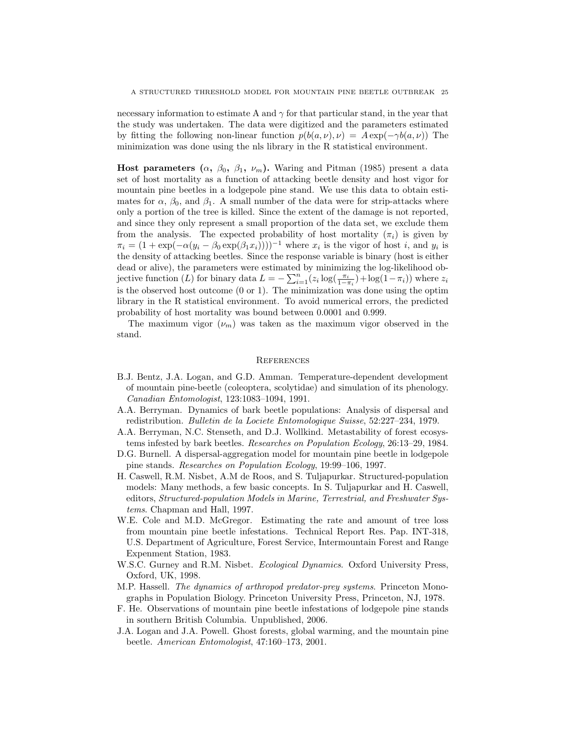necessary information to estimate A and  $\gamma$  for that particular stand, in the year that the study was undertaken. The data were digitized and the parameters estimated by fitting the following non-linear function  $p(b(a, \nu), \nu) = A \exp(-\gamma b(a, \nu))$  The minimization was done using the nls library in the R statistical environment.

Host parameters  $(\alpha, \beta_0, \beta_1, \nu_m)$ . Waring and Pitman (1985) present a data set of host mortality as a function of attacking beetle density and host vigor for mountain pine beetles in a lodgepole pine stand. We use this data to obtain estimates for  $\alpha$ ,  $\beta_0$ , and  $\beta_1$ . A small number of the data were for strip-attacks where only a portion of the tree is killed. Since the extent of the damage is not reported, and since they only represent a small proportion of the data set, we exclude them from the analysis. The expected probability of host mortality  $(\pi_i)$  is given by  $\pi_i = (1 + \exp(-\alpha(y_i - \beta_0 \exp(\beta_1 x_i))))^{-1}$  where  $x_i$  is the vigor of host i, and  $y_i$  is the density of attacking beetles. Since the response variable is binary (host is either dead or alive), the parameters were estimated by minimizing the log-likelihood objective function (L) for binary data  $L = -\sum_{i=1}^{n} (z_i \log(\frac{\pi_i}{1-\pi_i}) + \log(1-\pi_i))$  where  $z_i$ is the observed host outcome  $(0 \text{ or } 1)$ . The minimization was done using the optim library in the R statistical environment. To avoid numerical errors, the predicted probability of host mortality was bound between 0.0001 and 0.999.

The maximum vigor  $(\nu_m)$  was taken as the maximum vigor observed in the stand.

# **REFERENCES**

- B.J. Bentz, J.A. Logan, and G.D. Amman. Temperature-dependent development of mountain pine-beetle (coleoptera, scolytidae) and simulation of its phenology. Canadian Entomologist, 123:1083–1094, 1991.
- A.A. Berryman. Dynamics of bark beetle populations: Analysis of dispersal and redistribution. Bulletin de la Lociete Entomologique Suisse, 52:227–234, 1979.
- A.A. Berryman, N.C. Stenseth, and D.J. Wollkind. Metastability of forest ecosystems infested by bark beetles. Researches on Population Ecology, 26:13–29, 1984.
- D.G. Burnell. A dispersal-aggregation model for mountain pine beetle in lodgepole pine stands. Researches on Population Ecology, 19:99–106, 1997.
- H. Caswell, R.M. Nisbet, A.M de Roos, and S. Tuljapurkar. Structured-population models: Many methods, a few basic concepts. In S. Tuljapurkar and H. Caswell, editors, Structured-population Models in Marine, Terrestrial, and Freshwater Systems. Chapman and Hall, 1997.
- W.E. Cole and M.D. McGregor. Estimating the rate and amount of tree loss from mountain pine beetle infestations. Technical Report Res. Pap. INT-318, U.S. Department of Agriculture, Forest Service, Intermountain Forest and Range Expenment Station, 1983.
- W.S.C. Gurney and R.M. Nisbet. Ecological Dynamics. Oxford University Press, Oxford, UK, 1998.
- M.P. Hassell. The dynamics of arthropod predator-prey systems. Princeton Monographs in Population Biology. Princeton University Press, Princeton, NJ, 1978.
- F. He. Observations of mountain pine beetle infestations of lodgepole pine stands in southern British Columbia. Unpublished, 2006.
- J.A. Logan and J.A. Powell. Ghost forests, global warming, and the mountain pine beetle. American Entomologist, 47:160–173, 2001.